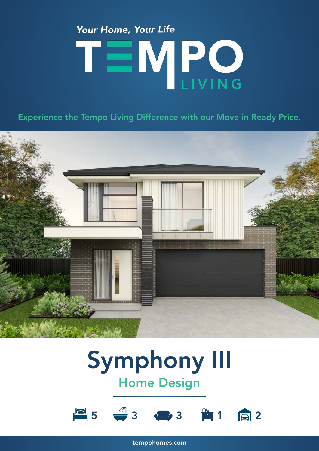## Your Home, Your Life TEMPO

Experience the Tempo Living Difference with our Move in Ready Price.



### Symphony III Home Design



tempohomes.com